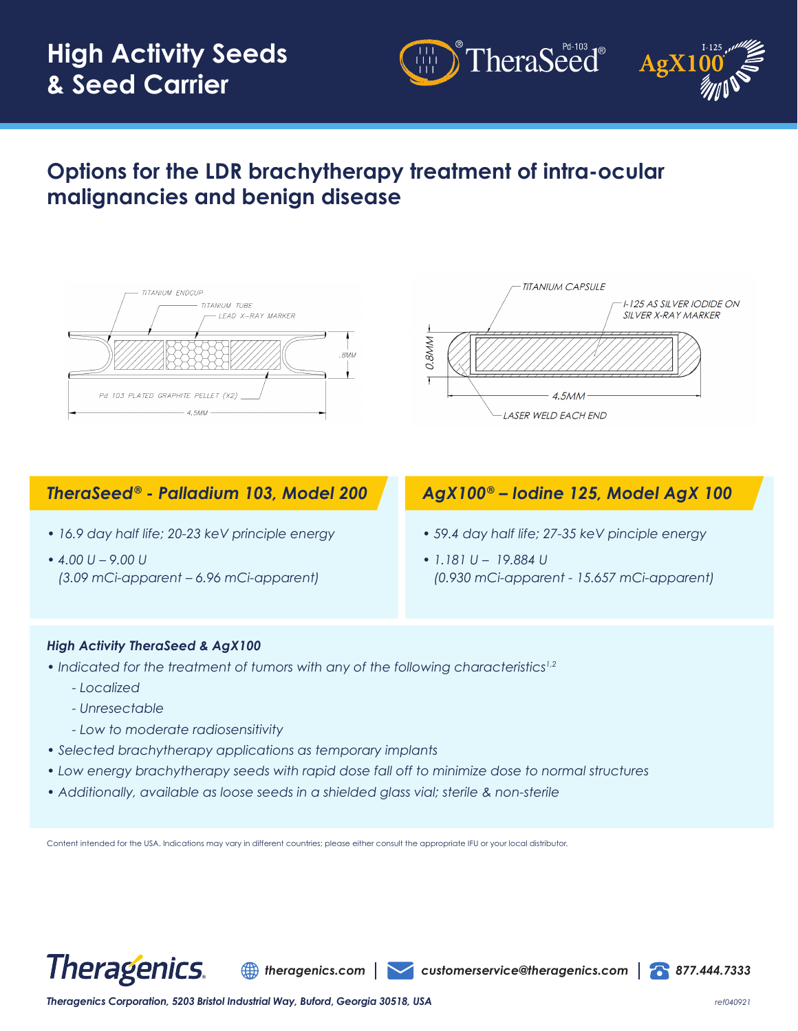# **High Activity Seeds & Seed Carrier**



## **Options for the LDR brachytherapy treatment of intra-ocular malignancies and benign disease**





TheraSeed®

### *TheraSeed® - Palladium 103, Model 200*

- *16.9 day half life; 20-23 keV principle energy*
- *4.00 U 9.00 U (3.09 mCi-apparent – 6.96 mCi-apparent)*

### *AgX100® – Iodine 125, Model AgX 100*

- *59.4 day half life; 27-35 keV pinciple energy*
- *1.181 U 19.884 U (0.930 mCi-apparent - 15.657 mCi-apparent)*

#### *High Activity TheraSeed & AgX100*

- *Indicated for the treatment of tumors with any of the following characteristics1,2*
	- *Localized*
	- *Unresectable*
	- *Low to moderate radiosensitivity*
- *Selected brachytherapy applications as temporary implants*
- *Low energy brachytherapy seeds with rapid dose fall off to minimize dose to normal structures*
- *Additionally, available as loose seeds in a shielded glass vial; sterile & non-sterile*

Content intended for the USA. Indications may vary in different countries; please either consult the appropriate IFU or your local distributor.



*theragenics.com customerservice@theragenics.com 877.444.7333*